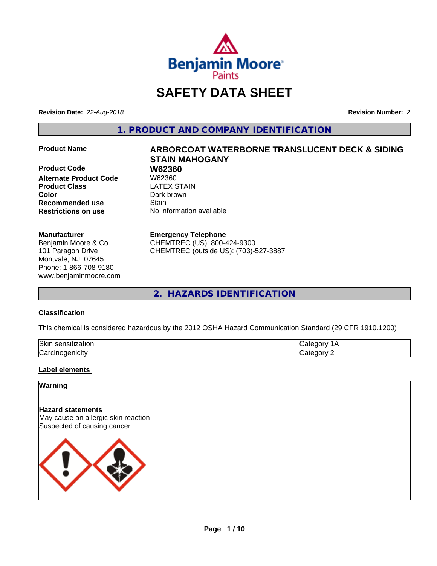

# **SAFETY DATA SHEET**

**Revision Date:** *22-Aug-2018* **Revision Number:** *2*

**1. PRODUCT AND COMPANY IDENTIFICATION**

**Product Code 61 W62360**<br>Alternate Product Code 61 W62360 **Alternate Product Code W62360<br>
<b>Product Class** LATEX STAIN **Product Class Color** Dark brown **Recommended use Stain Restrictions on use** No information available

#### **Manufacturer**

Benjamin Moore & Co. 101 Paragon Drive Montvale, NJ 07645 Phone: 1-866-708-9180 www.benjaminmoore.com

# **Product Name 6 ARBORCOAT WATERBORNE TRANSLUCENT DECK & SIDING STAIN MAHOGANY**

#### **Emergency Telephone**

CHEMTREC (US): 800-424-9300 CHEMTREC (outside US): (703)-527-3887

**2. HAZARDS IDENTIFICATION**

#### **Classification**

This chemical is considered hazardous by the 2012 OSHA Hazard Communication Standard (29 CFR 1910.1200)

| <b>Skir</b><br>- - - -<br>-----<br>.<br>uor<br>ייי |      |
|----------------------------------------------------|------|
| ⌒<br>. . <b></b> .<br>- - - - - - -<br>ar′.<br>    | ---- |

#### **Label elements**

## **Warning**

**Hazard statements** May cause an allergic skin reaction Suspected of causing cancer

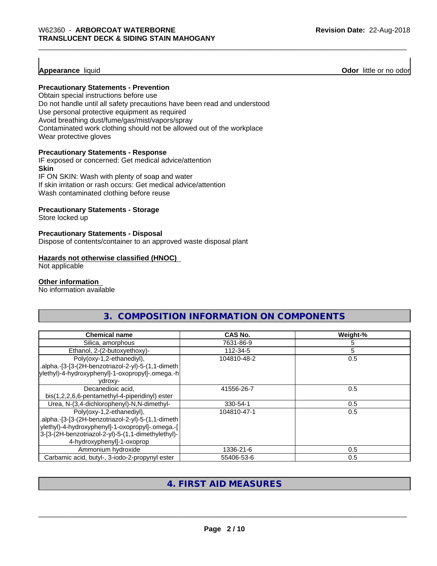#### **Appearance** liquid

**Odor** little or no odor

#### **Precautionary Statements - Prevention**

Obtain special instructions before use Do not handle until all safety precautions have been read and understood Use personal protective equipment as required Avoid breathing dust/fume/gas/mist/vapors/spray Contaminated work clothing should not be allowed out of the workplace Wear protective gloves

#### **Precautionary Statements - Response**

IF exposed or concerned: Get medical advice/attention **Skin** IF ON SKIN: Wash with plenty of soap and water

If skin irritation or rash occurs: Get medical advice/attention Wash contaminated clothing before reuse

#### **Precautionary Statements - Storage**

Store locked up

#### **Precautionary Statements - Disposal**

Dispose of contents/container to an approved waste disposal plant

#### **Hazards not otherwise classified (HNOC)**

Not applicable

#### **Other information**

No information available

|                                   | COMPOSITION INFORMATION ON COMPONENTS |               |
|-----------------------------------|---------------------------------------|---------------|
| <b>Chemical name</b>              | <b>CAS No.</b>                        | Weight-%      |
| Silica, amorphous                 | 7631-86-9                             |               |
| Ethanol. 2-(2-butoxyethoxy)-      | 112-34-5                              |               |
| - 11<br>$\sim$ $\sim$<br>$\cdots$ | 1010101000                            | $\sim$ $\sim$ |

| $L$ u idi idi, $L$ - $L$ -bulovycu id $N$           | $112 - 171$ |     |
|-----------------------------------------------------|-------------|-----|
| Poly(oxy-1,2-ethanediyl),                           | 104810-48-2 | 0.5 |
| .alpha.-[3-[3-(2H-benzotriazol-2-yl)-5-(1,1-dimeth) |             |     |
| ylethyl)-4-hydroxyphenyl]-1-oxopropyl]-.omega.-h    |             |     |
| vdroxv-                                             |             |     |
| Decanedioic acid,                                   | 41556-26-7  | 0.5 |
| bis(1,2,2,6,6-pentamethyl-4-piperidinyl) ester      |             |     |
| Urea, N-(3,4-dichlorophenyl)-N,N-dimethyl-          | 330-54-1    | 0.5 |
| Poly(oxy-1,2-ethanediyl),                           | 104810-47-1 | 0.5 |
| .alpha.-[3-[3-(2H-benzotriazol-2-yl)-5-(1,1-dimeth  |             |     |
| ylethyl)-4-hydroxyphenyl]-1-oxopropyl]-.omega.-[    |             |     |
| 3-[3-(2H-benzotriazol-2-yl)-5-(1,1-dimethylethyl)-  |             |     |
| 4-hydroxyphenyl]-1-oxoprop                          |             |     |
| Ammonium hydroxide                                  | 1336-21-6   | 0.5 |
| Carbamic acid, butyl-, 3-iodo-2-propynyl ester      | 55406-53-6  | 0.5 |

# **4. FIRST AID MEASURES**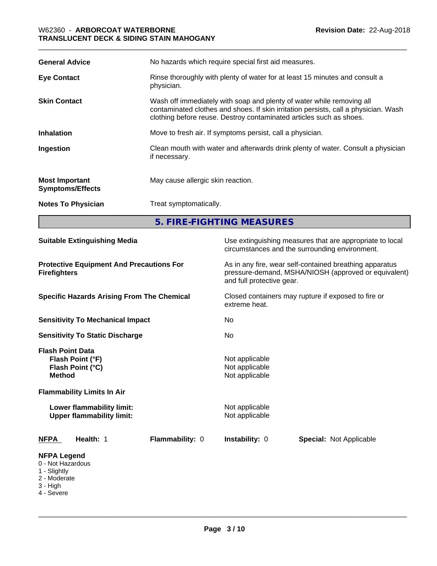| <b>General Advice</b>                            | No hazards which require special first aid measures.                                                                                                                                                                                |  |
|--------------------------------------------------|-------------------------------------------------------------------------------------------------------------------------------------------------------------------------------------------------------------------------------------|--|
| <b>Eye Contact</b>                               | Rinse thoroughly with plenty of water for at least 15 minutes and consult a<br>physician.                                                                                                                                           |  |
| <b>Skin Contact</b>                              | Wash off immediately with soap and plenty of water while removing all<br>contaminated clothes and shoes. If skin irritation persists, call a physician. Wash<br>clothing before reuse. Destroy contaminated articles such as shoes. |  |
| <b>Inhalation</b>                                | Move to fresh air. If symptoms persist, call a physician.                                                                                                                                                                           |  |
| Ingestion                                        | Clean mouth with water and afterwards drink plenty of water. Consult a physician<br>if necessary.                                                                                                                                   |  |
| <b>Most Important</b><br><b>Symptoms/Effects</b> | May cause allergic skin reaction.                                                                                                                                                                                                   |  |
| <b>Notes To Physician</b>                        | Treat symptomatically.                                                                                                                                                                                                              |  |
|                                                  | 5. FIRE-FIGHTING MEASURES                                                                                                                                                                                                           |  |

| <b>Suitable Extinguishing Media</b>                                                                                                                | Use extinguishing measures that are appropriate to local<br>circumstances and the surrounding environment.                                   |
|----------------------------------------------------------------------------------------------------------------------------------------------------|----------------------------------------------------------------------------------------------------------------------------------------------|
| <b>Protective Equipment And Precautions For</b><br><b>Firefighters</b>                                                                             | As in any fire, wear self-contained breathing apparatus<br>pressure-demand, MSHA/NIOSH (approved or equivalent)<br>and full protective gear. |
| <b>Specific Hazards Arising From The Chemical</b>                                                                                                  | Closed containers may rupture if exposed to fire or<br>extreme heat.                                                                         |
| <b>Sensitivity To Mechanical Impact</b>                                                                                                            | No                                                                                                                                           |
| <b>Sensitivity To Static Discharge</b>                                                                                                             | No                                                                                                                                           |
| <b>Flash Point Data</b><br>Flash Point (°F)<br>Flash Point (°C)<br><b>Method</b><br><b>Flammability Limits In Air</b><br>Lower flammability limit: | Not applicable<br>Not applicable<br>Not applicable<br>Not applicable                                                                         |
| <b>Upper flammability limit:</b>                                                                                                                   | Not applicable                                                                                                                               |
| <b>NFPA</b><br>Health: 1<br>Flammability: 0                                                                                                        | Instability: 0<br><b>Special: Not Applicable</b>                                                                                             |
| <b>NFPA Legend</b><br>0 - Not Hazardous<br>1 - Slightly<br>2 - Moderate<br>3 - High<br>4 - Severe                                                  |                                                                                                                                              |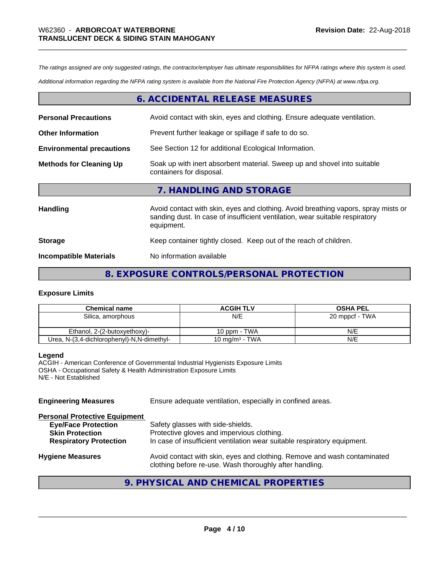*The ratings assigned are only suggested ratings, the contractor/employer has ultimate responsibilities for NFPA ratings where this system is used.*

*Additional information regarding the NFPA rating system is available from the National Fire Protection Agency (NFPA) at www.nfpa.org.*

# **6. ACCIDENTAL RELEASE MEASURES**

| <b>Personal Precautions</b>      | Avoid contact with skin, eyes and clothing. Ensure adequate ventilation.                                                                                                         |
|----------------------------------|----------------------------------------------------------------------------------------------------------------------------------------------------------------------------------|
| <b>Other Information</b>         | Prevent further leakage or spillage if safe to do so.                                                                                                                            |
| <b>Environmental precautions</b> | See Section 12 for additional Ecological Information.                                                                                                                            |
| <b>Methods for Cleaning Up</b>   | Soak up with inert absorbent material. Sweep up and shovel into suitable<br>containers for disposal.                                                                             |
|                                  | 7. HANDLING AND STORAGE                                                                                                                                                          |
| Handling                         | Avoid contact with skin, eyes and clothing. Avoid breathing vapors, spray mists or<br>sanding dust. In case of insufficient ventilation, wear suitable respiratory<br>equipment. |
| <b>Storage</b>                   | Keep container tightly closed. Keep out of the reach of children.                                                                                                                |
| <b>Incompatible Materials</b>    | No information available                                                                                                                                                         |

# **8. EXPOSURE CONTROLS/PERSONAL PROTECTION**

#### **Exposure Limits**

| <b>Chemical name</b>                       | <b>ACGIH TLV</b>           | <b>OSHA PEL</b> |
|--------------------------------------------|----------------------------|-----------------|
| Silica, amorphous                          | N/E                        | 20 mppcf - TWA  |
|                                            |                            |                 |
| Ethanol, 2-(2-butoxyethoxy)-               | 10 ppm - TWA               | N/E             |
| Urea, N-(3,4-dichlorophenyl)-N,N-dimethyl- | 10 mg/m <sup>3</sup> - TWA | N/E             |

#### **Legend**

ACGIH - American Conference of Governmental Industrial Hygienists Exposure Limits OSHA - Occupational Safety & Health Administration Exposure Limits N/E - Not Established

| <b>Engineering Measures</b>          | Ensure adequate ventilation, especially in confined areas.                                                                          |
|--------------------------------------|-------------------------------------------------------------------------------------------------------------------------------------|
| <b>Personal Protective Equipment</b> |                                                                                                                                     |
| <b>Eye/Face Protection</b>           | Safety glasses with side-shields.                                                                                                   |
| <b>Skin Protection</b>               | Protective gloves and impervious clothing.                                                                                          |
| <b>Respiratory Protection</b>        | In case of insufficient ventilation wear suitable respiratory equipment.                                                            |
| <b>Hygiene Measures</b>              | Avoid contact with skin, eyes and clothing. Remove and wash contaminated<br>clothing before re-use. Wash thoroughly after handling. |
|                                      |                                                                                                                                     |

# **9. PHYSICAL AND CHEMICAL PROPERTIES**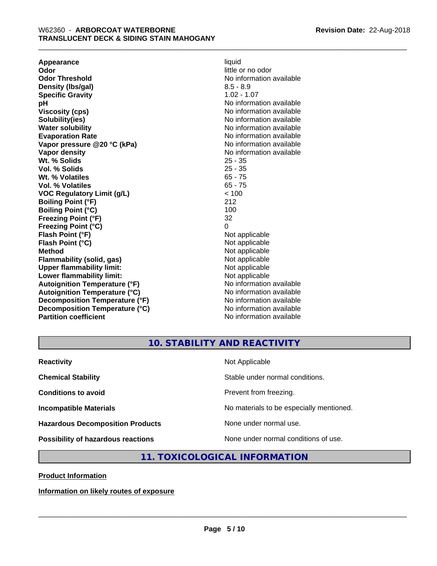**Appearance** liquid **and a liquid contract of the contract of the contract of the contract of the contract of the contract of the contract of the contract of the contract of the contract of the contract of the contract of Odor Threshold** No information available **Density (lbs/gal)** 8.5 - 8.9 **Specific Gravity** 1.02 - 1.07 **pH**<br>
Viscosity (cps) The Contract of the Contract of No information available<br>
No information available **Solubility(ies)** No information available in the solution of the solution of the solution available in the solution of the solution of the solution of the solution of the solution of the solution of the solution of the so **Water solubility** No information available **Evaporation Rate No information available No information available Vapor pressure @20 °C (kPa)** No information available **Vapor density No information available No** information available **Wt. % Solids** 25 - 35 **Vol. % Solids** 25 - 35 Wt. % Volatiles **Vol. % Volatiles** 65 - 75 **VOC Regulatory Limit (g/L)** < 100 **Boiling Point (°F)** 212 **Boiling Point (°C)** 100<br> **Preezing Point (°F)** 32 **Freezing Point (°F) Freezing Point (°C)** 0 **Flash Point (°F)** Not applicable **Flash Point (°C)** Not applicable **Method**<br> **Flammability (solid, gas)**<br> **Commability (solid, gas)**<br>
Mot applicable **Flammability (solid, gas)**<br> **Upper flammability limit:**<br>
Upper flammability limit:<br>  $\begin{array}{ccc}\n\bullet & \bullet & \bullet \\
\bullet & \bullet & \bullet\n\end{array}$ **Upper flammability limit:**<br> **Lower flammability limit:**<br>
Not applicable<br>
Not applicable **Lower flammability limit:**<br> **Autoianition Temperature (°F)** Not applicable Not applicable not a Not applicable **Autoignition Temperature (°F) Autoignition Temperature (°C)** No information available **Decomposition Temperature (°F)** No information available **Decomposition Temperature (°C)** No information available **Partition coefficient** No information available

little or no odor **Viscosity (cps)** No information available

# **10. STABILITY AND REACTIVITY**

| <b>Reactivity</b>                         | Not Applicable                           |
|-------------------------------------------|------------------------------------------|
| <b>Chemical Stability</b>                 | Stable under normal conditions.          |
| <b>Conditions to avoid</b>                | Prevent from freezing.                   |
| <b>Incompatible Materials</b>             | No materials to be especially mentioned. |
| <b>Hazardous Decomposition Products</b>   | None under normal use.                   |
| <b>Possibility of hazardous reactions</b> | None under normal conditions of use.     |

# **11. TOXICOLOGICAL INFORMATION**

**Product Information**

**Information on likely routes of exposure**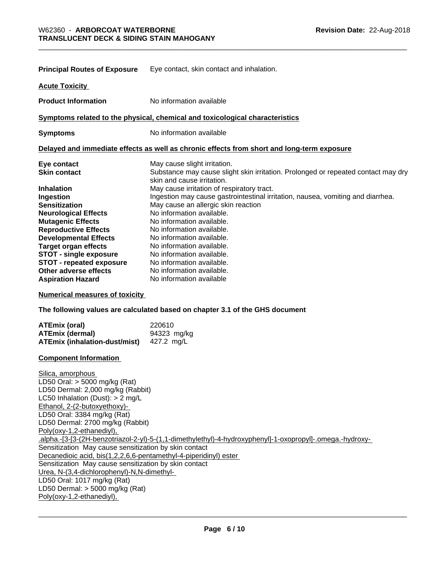| <b>Principal Routes of Exposure</b> | Eye contact, skin contact and inhalation.                                                                       |
|-------------------------------------|-----------------------------------------------------------------------------------------------------------------|
| <b>Acute Toxicity</b>               |                                                                                                                 |
| <b>Product Information</b>          | No information available                                                                                        |
|                                     | Symptoms related to the physical, chemical and toxicological characteristics                                    |
| <b>Symptoms</b>                     | No information available                                                                                        |
|                                     | Delayed and immediate effects as well as chronic effects from short and long-term exposure                      |
| Eye contact                         | May cause slight irritation.                                                                                    |
| <b>Skin contact</b>                 | Substance may cause slight skin irritation. Prolonged or repeated contact may dry<br>skin and cause irritation. |
| <b>Inhalation</b>                   | May cause irritation of respiratory tract.                                                                      |
| Ingestion                           | Ingestion may cause gastrointestinal irritation, nausea, vomiting and diarrhea.                                 |
| <b>Sensitization</b>                | May cause an allergic skin reaction                                                                             |
| <b>Neurological Effects</b>         | No information available.                                                                                       |
| <b>Mutagenic Effects</b>            | No information available.                                                                                       |
| <b>Reproductive Effects</b>         | No information available.                                                                                       |
| <b>Developmental Effects</b>        | No information available.                                                                                       |
| <b>Target organ effects</b>         | No information available.                                                                                       |
| <b>STOT - single exposure</b>       | No information available.                                                                                       |
| <b>STOT - repeated exposure</b>     | No information available.                                                                                       |
| Other adverse effects               | No information available.                                                                                       |
| <b>Aspiration Hazard</b>            | No information available                                                                                        |
| Numerical messences of textally     |                                                                                                                 |

**Numerical measures of toxicity**

**The following values are calculated based on chapter 3.1 of the GHS document**

| <b>ATEmix (oral)</b>          | 220610      |
|-------------------------------|-------------|
| <b>ATEmix (dermal)</b>        | 94323 mg/kg |
| ATEmix (inhalation-dust/mist) | 427.2 ma/L  |

#### **Component Information**

Silica, amorphous LD50 Oral: > 5000 mg/kg (Rat) LD50 Dermal: 2,000 mg/kg (Rabbit) LC50 Inhalation (Dust): > 2 mg/L Ethanol, 2-(2-butoxyethoxy)- LD50 Oral: 3384 mg/kg (Rat) LD50 Dermal: 2700 mg/kg (Rabbit) Poly(oxy-1,2-ethanediyl), .alpha.-[3-[3-(2H-benzotriazol-2-yl)-5-(1,1-dimethylethyl)-4-hydroxyphenyl]-1-oxopropyl]-.omega.-hydroxy- Sensitization May cause sensitization by skin contact Decanedioic acid, bis(1,2,2,6,6-pentamethyl-4-piperidinyl) ester Sensitization May cause sensitization by skin contact Urea, N-(3,4-dichlorophenyl)-N,N-dimethyl- LD50 Oral: 1017 mg/kg (Rat) LD50 Dermal: > 5000 mg/kg (Rat) Poly(oxy-1,2-ethanediyl),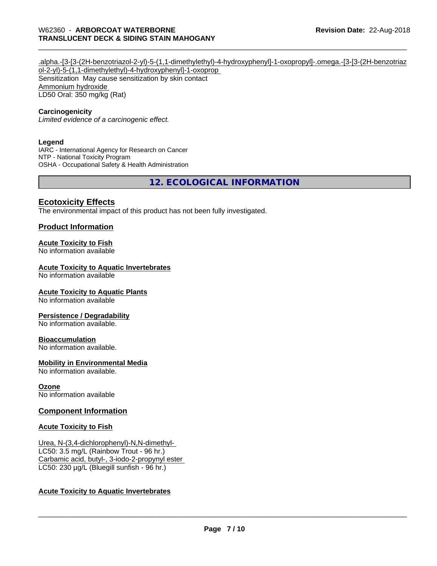.alpha.-[3-[3-(2H-benzotriazol-2-yl)-5-(1,1-dimethylethyl)-4-hydroxyphenyl]-1-oxopropyl]-.omega.-[3-[3-(2H-benzotriaz ol-2-yl)-5-(1,1-dimethylethyl)-4-hydroxyphenyl]-1-oxoprop Sensitization May cause sensitization by skin contact Ammonium hydroxide LD50 Oral: 350 mg/kg (Rat)

#### **Carcinogenicity**

*Limited evidence of a carcinogenic effect.*

#### **Legend**

IARC - International Agency for Research on Cancer NTP - National Toxicity Program OSHA - Occupational Safety & Health Administration

**12. ECOLOGICAL INFORMATION**

#### **Ecotoxicity Effects**

The environmental impact of this product has not been fully investigated.

#### **Product Information**

#### **Acute Toxicity to Fish**

No information available

#### **Acute Toxicity to Aquatic Invertebrates**

No information available

#### **Acute Toxicity to Aquatic Plants**

No information available

#### **Persistence / Degradability**

No information available.

#### **Bioaccumulation**

No information available.

#### **Mobility in Environmental Media**

No information available.

#### **Ozone**

No information available

#### **Component Information**

#### **Acute Toxicity to Fish**

Urea, N-(3,4-dichlorophenyl)-N,N-dimethyl- LC50: 3.5 mg/L (Rainbow Trout - 96 hr.) Carbamic acid, butyl-, 3-iodo-2-propynyl ester LC50: 230 µg/L (Bluegill sunfish - 96 hr.)

#### **Acute Toxicity to Aquatic Invertebrates**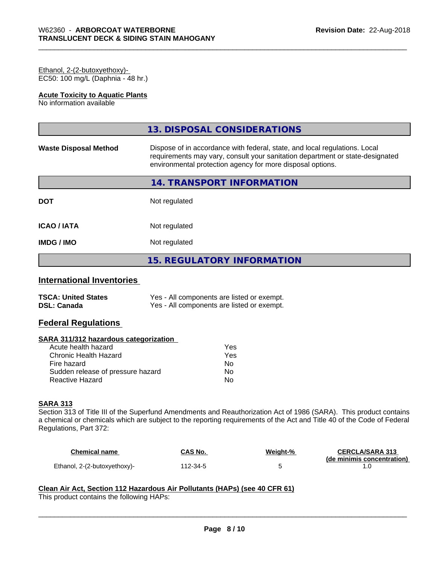#### Ethanol, 2-(2-butoxyethoxy)- EC50: 100 mg/L (Daphnia - 48 hr.)

#### **Acute Toxicity to Aquatic Plants**

No information available

|                              | 13. DISPOSAL CONSIDERATIONS                                                                                                                                                                                               |
|------------------------------|---------------------------------------------------------------------------------------------------------------------------------------------------------------------------------------------------------------------------|
| <b>Waste Disposal Method</b> | Dispose of in accordance with federal, state, and local regulations. Local<br>requirements may vary, consult your sanitation department or state-designated<br>environmental protection agency for more disposal options. |
|                              | 14. TRANSPORT INFORMATION                                                                                                                                                                                                 |
| <b>DOT</b>                   | Not regulated                                                                                                                                                                                                             |
| <b>ICAO/IATA</b>             | Not regulated                                                                                                                                                                                                             |
| <b>IMDG/IMO</b>              | Not regulated                                                                                                                                                                                                             |
|                              | <b>15. REGULATORY INFORMATION</b>                                                                                                                                                                                         |

# **International Inventories**

| <b>TSCA: United States</b> | Yes - All components are listed or exempt. |
|----------------------------|--------------------------------------------|
| <b>DSL: Canada</b>         | Yes - All components are listed or exempt. |

# **Federal Regulations**

#### **SARA 311/312 hazardous categorization**

| Acute health hazard               | Yes |
|-----------------------------------|-----|
| Chronic Health Hazard             | Yes |
| Fire hazard                       | Nο  |
| Sudden release of pressure hazard | Nο  |
| Reactive Hazard                   | N٥  |

# **SARA 313**

Section 313 of Title III of the Superfund Amendments and Reauthorization Act of 1986 (SARA). This product contains a chemical or chemicals which are subject to the reporting requirements of the Act and Title 40 of the Code of Federal Regulations, Part 372:

| Chemical name                | CAS No.  | Weight-% | <b>CERCLA/SARA 313</b><br>(de minimis concentration) |
|------------------------------|----------|----------|------------------------------------------------------|
| Ethanol, 2-(2-butoxyethoxy)- | 112-34-5 |          |                                                      |

 $\overline{\phantom{a}}$  ,  $\overline{\phantom{a}}$  ,  $\overline{\phantom{a}}$  ,  $\overline{\phantom{a}}$  ,  $\overline{\phantom{a}}$  ,  $\overline{\phantom{a}}$  ,  $\overline{\phantom{a}}$  ,  $\overline{\phantom{a}}$  ,  $\overline{\phantom{a}}$  ,  $\overline{\phantom{a}}$  ,  $\overline{\phantom{a}}$  ,  $\overline{\phantom{a}}$  ,  $\overline{\phantom{a}}$  ,  $\overline{\phantom{a}}$  ,  $\overline{\phantom{a}}$  ,  $\overline{\phantom{a}}$ 

# **Clean Air Act,Section 112 Hazardous Air Pollutants (HAPs) (see 40 CFR 61)**

This product contains the following HAPs: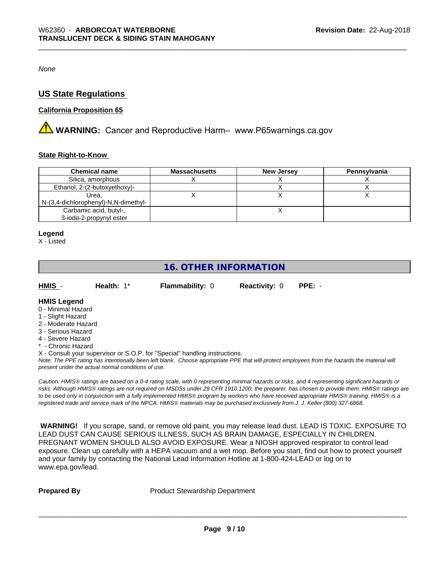*None*

# **US State Regulations**

#### **California Proposition 65**

**A WARNING:** Cancer and Reproductive Harm– www.P65warnings.ca.gov

#### **State Right-to-Know**

| <b>Chemical name</b>                 | <b>Massachusetts</b> | <b>New Jersey</b> | Pennsylvania |
|--------------------------------------|----------------------|-------------------|--------------|
| Silica, amorphous                    |                      |                   |              |
| Ethanol, 2-(2-butoxyethoxy)-         |                      |                   |              |
| Urea.                                |                      |                   |              |
| N-(3,4-dichlorophenyl)-N,N-dimethyl- |                      |                   |              |
| Carbamic acid, butyl-,               |                      |                   |              |
| 3-iodo-2-propynyl ester              |                      |                   |              |

#### **Legend**

X - Listed

# **16. OTHER INFORMATION**

| HMIS | Health: 1* | <b>Flammability: 0</b> | <b>Reactivity: 0 PPE: -</b> |  |
|------|------------|------------------------|-----------------------------|--|
|      |            |                        |                             |  |

#### **HMIS Legend**

- 0 Minimal Hazard
- 1 Slight Hazard
- 2 Moderate Hazard
- 3 Serious Hazard
- 4 Severe Hazard
- \* Chronic Hazard

X - Consult your supervisor or S.O.P. for "Special" handling instructions.

*Note: The PPE rating has intentionally been left blank. Choose appropriate PPE that will protect employees from the hazards the material will present under the actual normal conditions of use.*

*Caution: HMISÒ ratings are based on a 0-4 rating scale, with 0 representing minimal hazards or risks, and 4 representing significant hazards or risks. Although HMISÒ ratings are not required on MSDSs under 29 CFR 1910.1200, the preparer, has chosen to provide them. HMISÒ ratings are to be used only in conjunction with a fully implemented HMISÒ program by workers who have received appropriate HMISÒ training. HMISÒ is a registered trade and service mark of the NPCA. HMISÒ materials may be purchased exclusively from J. J. Keller (800) 327-6868.*

 **WARNING!** If you scrape, sand, or remove old paint, you may release lead dust. LEAD IS TOXIC. EXPOSURE TO LEAD DUST CAN CAUSE SERIOUS ILLNESS, SUCH AS BRAIN DAMAGE, ESPECIALLY IN CHILDREN. PREGNANT WOMEN SHOULD ALSO AVOID EXPOSURE.Wear a NIOSH approved respirator to control lead exposure. Clean up carefully with a HEPA vacuum and a wet mop. Before you start, find out how to protect yourself and your family by contacting the National Lead Information Hotline at 1-800-424-LEAD or log on to www.epa.gov/lead.

**Prepared By** Product Stewardship Department